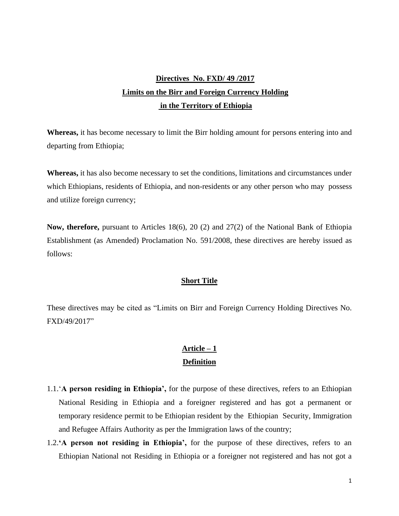# **Directives No. FXD/ 49 /2017 Limits on the Birr and Foreign Currency Holding in the Territory of Ethiopia**

**Whereas,** it has become necessary to limit the Birr holding amount for persons entering into and departing from Ethiopia;

**Whereas,** it has also become necessary to set the conditions, limitations and circumstances under which Ethiopians, residents of Ethiopia, and non-residents or any other person who may possess and utilize foreign currency;

**Now, therefore,** pursuant to Articles 18(6), 20 (2) and 27(2) of the National Bank of Ethiopia Establishment (as Amended) Proclamation No. 591/2008, these directives are hereby issued as follows:

### **Short Title**

These directives may be cited as "Limits on Birr and Foreign Currency Holding Directives No. FXD/49/2017"

# **Article – 1 Definition**

- 1.1.'**A person residing in Ethiopia',** for the purpose of these directives, refers to an Ethiopian National Residing in Ethiopia and a foreigner registered and has got a permanent or temporary residence permit to be Ethiopian resident by the Ethiopian Security, Immigration and Refugee Affairs Authority as per the Immigration laws of the country;
- 1.2.**'A person not residing in Ethiopia',** for the purpose of these directives, refers to an Ethiopian National not Residing in Ethiopia or a foreigner not registered and has not got a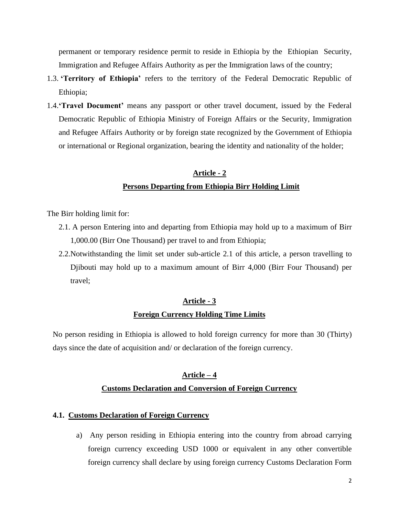permanent or temporary residence permit to reside in Ethiopia by the Ethiopian Security, Immigration and Refugee Affairs Authority as per the Immigration laws of the country;

- 1.3. **'Territory of Ethiopia'** refers to the territory of the Federal Democratic Republic of Ethiopia;
- 1.4.**'Travel Document'** means any passport or other travel document, issued by the Federal Democratic Republic of Ethiopia Ministry of Foreign Affairs or the Security, Immigration and Refugee Affairs Authority or by foreign state recognized by the Government of Ethiopia or international or Regional organization, bearing the identity and nationality of the holder;

# **Article - 2 Persons Departing from Ethiopia Birr Holding Limit**

The Birr holding limit for:

- 2.1. A person Entering into and departing from Ethiopia may hold up to a maximum of Birr 1,000.00 (Birr One Thousand) per travel to and from Ethiopia;
- 2.2.Notwithstanding the limit set under sub-article 2.1 of this article, a person travelling to Djibouti may hold up to a maximum amount of Birr 4,000 (Birr Four Thousand) per travel;

# **Article - 3 Foreign Currency Holding Time Limits**

No person residing in Ethiopia is allowed to hold foreign currency for more than 30 (Thirty) days since the date of acquisition and/ or declaration of the foreign currency.

# **Article – 4 Customs Declaration and Conversion of Foreign Currency**

#### **4.1. Customs Declaration of Foreign Currency**

a) Any person residing in Ethiopia entering into the country from abroad carrying foreign currency exceeding USD 1000 or equivalent in any other convertible foreign currency shall declare by using foreign currency Customs Declaration Form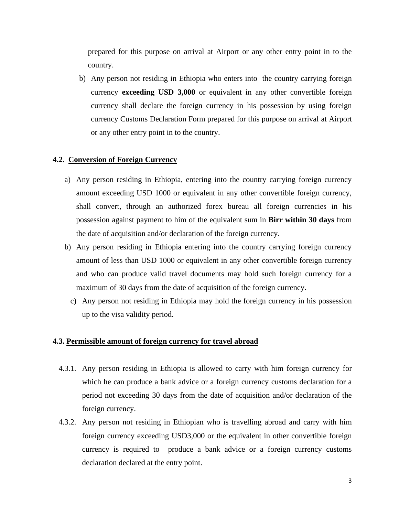prepared for this purpose on arrival at Airport or any other entry point in to the country.

b) Any person not residing in Ethiopia who enters into the country carrying foreign currency **exceeding USD 3,000** or equivalent in any other convertible foreign currency shall declare the foreign currency in his possession by using foreign currency Customs Declaration Form prepared for this purpose on arrival at Airport or any other entry point in to the country.

#### **4.2. Conversion of Foreign Currency**

- a) Any person residing in Ethiopia, entering into the country carrying foreign currency amount exceeding USD 1000 or equivalent in any other convertible foreign currency, shall convert, through an authorized forex bureau all foreign currencies in his possession against payment to him of the equivalent sum in **Birr within 30 days** from the date of acquisition and/or declaration of the foreign currency.
- b) Any person residing in Ethiopia entering into the country carrying foreign currency amount of less than USD 1000 or equivalent in any other convertible foreign currency and who can produce valid travel documents may hold such foreign currency for a maximum of 30 days from the date of acquisition of the foreign currency.
	- c) Any person not residing in Ethiopia may hold the foreign currency in his possession up to the visa validity period.

#### **4.3. Permissible amount of foreign currency for travel abroad**

- 4.3.1. Any person residing in Ethiopia is allowed to carry with him foreign currency for which he can produce a bank advice or a foreign currency customs declaration for a period not exceeding 30 days from the date of acquisition and/or declaration of the foreign currency.
- 4.3.2. Any person not residing in Ethiopian who is travelling abroad and carry with him foreign currency exceeding USD3,000 or the equivalent in other convertible foreign currency is required to produce a bank advice or a foreign currency customs declaration declared at the entry point.